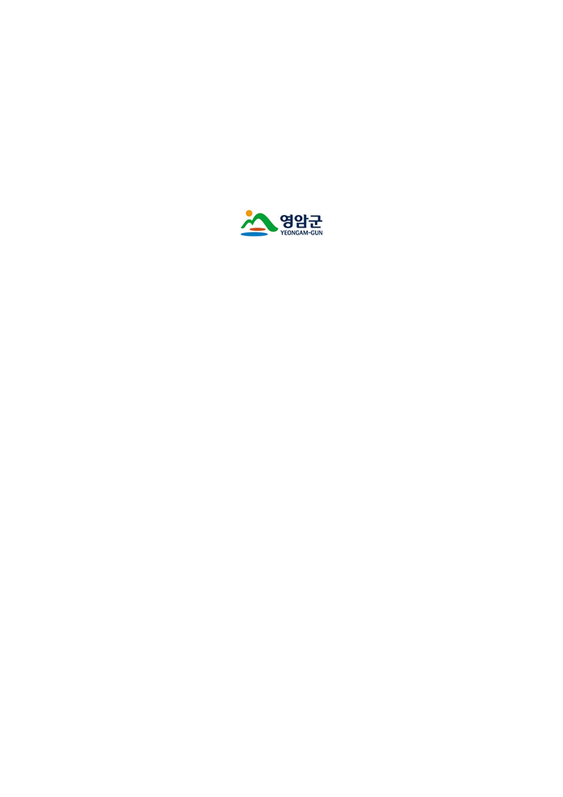